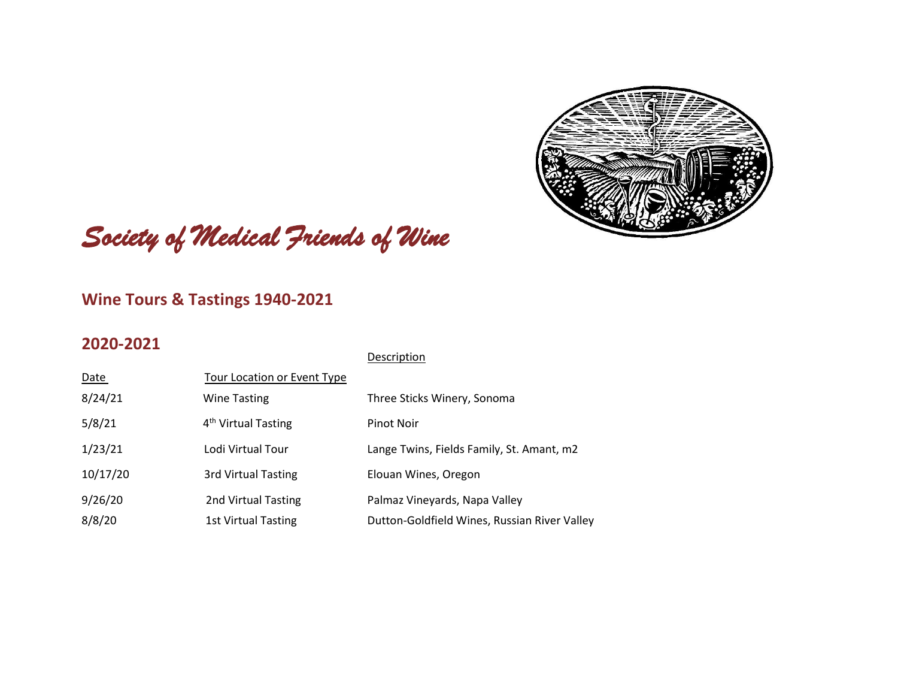

# Society of Medical Friends of Wine

#### **Wine Tours & Tastings 1940-2021**

#### **2020-2021**

| Description |
|-------------|
|             |

| Date     | Tour Location or Event Type     |                                              |
|----------|---------------------------------|----------------------------------------------|
| 8/24/21  | <b>Wine Tasting</b>             | Three Sticks Winery, Sonoma                  |
| 5/8/21   | 4 <sup>th</sup> Virtual Tasting | <b>Pinot Noir</b>                            |
| 1/23/21  | Lodi Virtual Tour               | Lange Twins, Fields Family, St. Amant, m2    |
| 10/17/20 | 3rd Virtual Tasting             | Elouan Wines, Oregon                         |
| 9/26/20  | 2nd Virtual Tasting             | Palmaz Vineyards, Napa Valley                |
| 8/8/20   | <b>1st Virtual Tasting</b>      | Dutton-Goldfield Wines, Russian River Valley |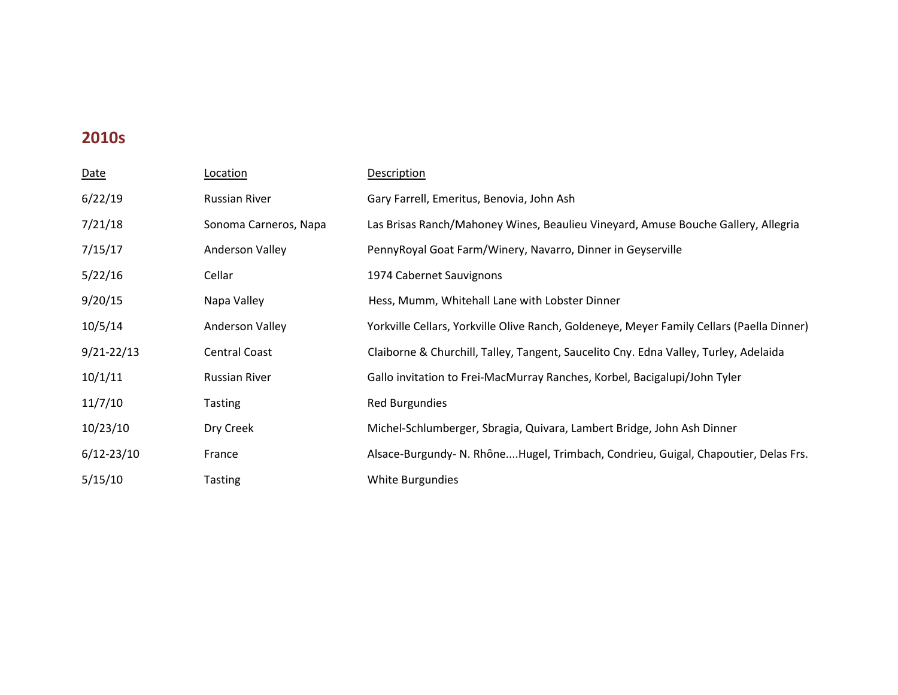| Date           | Location              | <b>Description</b>                                                                        |
|----------------|-----------------------|-------------------------------------------------------------------------------------------|
| 6/22/19        | <b>Russian River</b>  | Gary Farrell, Emeritus, Benovia, John Ash                                                 |
| 7/21/18        | Sonoma Carneros, Napa | Las Brisas Ranch/Mahoney Wines, Beaulieu Vineyard, Amuse Bouche Gallery, Allegria         |
| 7/15/17        | Anderson Valley       | PennyRoyal Goat Farm/Winery, Navarro, Dinner in Geyserville                               |
| 5/22/16        | Cellar                | 1974 Cabernet Sauvignons                                                                  |
| 9/20/15        | Napa Valley           | Hess, Mumm, Whitehall Lane with Lobster Dinner                                            |
| 10/5/14        | Anderson Valley       | Yorkville Cellars, Yorkville Olive Ranch, Goldeneye, Meyer Family Cellars (Paella Dinner) |
| $9/21 - 22/13$ | <b>Central Coast</b>  | Claiborne & Churchill, Talley, Tangent, Saucelito Cny. Edna Valley, Turley, Adelaida      |
| 10/1/11        | <b>Russian River</b>  | Gallo invitation to Frei-MacMurray Ranches, Korbel, Bacigalupi/John Tyler                 |
| 11/7/10        | <b>Tasting</b>        | <b>Red Burgundies</b>                                                                     |
| 10/23/10       | Dry Creek             | Michel-Schlumberger, Sbragia, Quivara, Lambert Bridge, John Ash Dinner                    |
| $6/12 - 23/10$ | France                | Alsace-Burgundy- N. RhôneHugel, Trimbach, Condrieu, Guigal, Chapoutier, Delas Frs.        |
| 5/15/10        | <b>Tasting</b>        | White Burgundies                                                                          |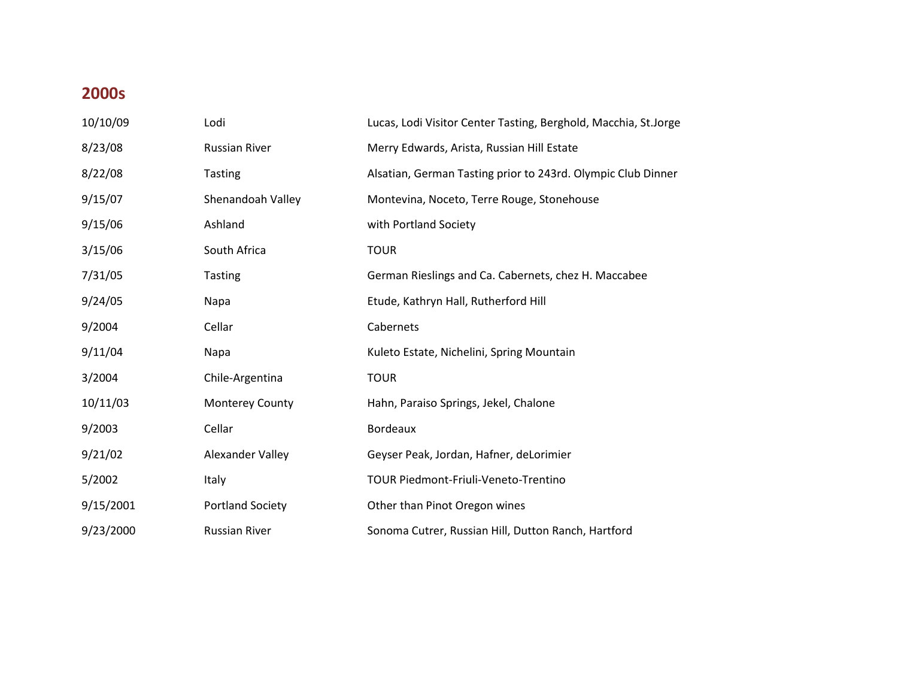| 10/10/09  | Lodi                    | Lucas, Lodi Visitor Center Tasting, Berghold, Macchia, St.Jorge |
|-----------|-------------------------|-----------------------------------------------------------------|
| 8/23/08   | <b>Russian River</b>    | Merry Edwards, Arista, Russian Hill Estate                      |
| 8/22/08   | <b>Tasting</b>          | Alsatian, German Tasting prior to 243rd. Olympic Club Dinner    |
| 9/15/07   | Shenandoah Valley       | Montevina, Noceto, Terre Rouge, Stonehouse                      |
| 9/15/06   | Ashland                 | with Portland Society                                           |
| 3/15/06   | South Africa            | <b>TOUR</b>                                                     |
| 7/31/05   | <b>Tasting</b>          | German Rieslings and Ca. Cabernets, chez H. Maccabee            |
| 9/24/05   | Napa                    | Etude, Kathryn Hall, Rutherford Hill                            |
| 9/2004    | Cellar                  | Cabernets                                                       |
| 9/11/04   | Napa                    | Kuleto Estate, Nichelini, Spring Mountain                       |
| 3/2004    | Chile-Argentina         | <b>TOUR</b>                                                     |
| 10/11/03  | <b>Monterey County</b>  | Hahn, Paraiso Springs, Jekel, Chalone                           |
| 9/2003    | Cellar                  | <b>Bordeaux</b>                                                 |
| 9/21/02   | Alexander Valley        | Geyser Peak, Jordan, Hafner, deLorimier                         |
| 5/2002    | Italy                   | TOUR Piedmont-Friuli-Veneto-Trentino                            |
| 9/15/2001 | <b>Portland Society</b> | Other than Pinot Oregon wines                                   |
| 9/23/2000 | <b>Russian River</b>    | Sonoma Cutrer, Russian Hill, Dutton Ranch, Hartford             |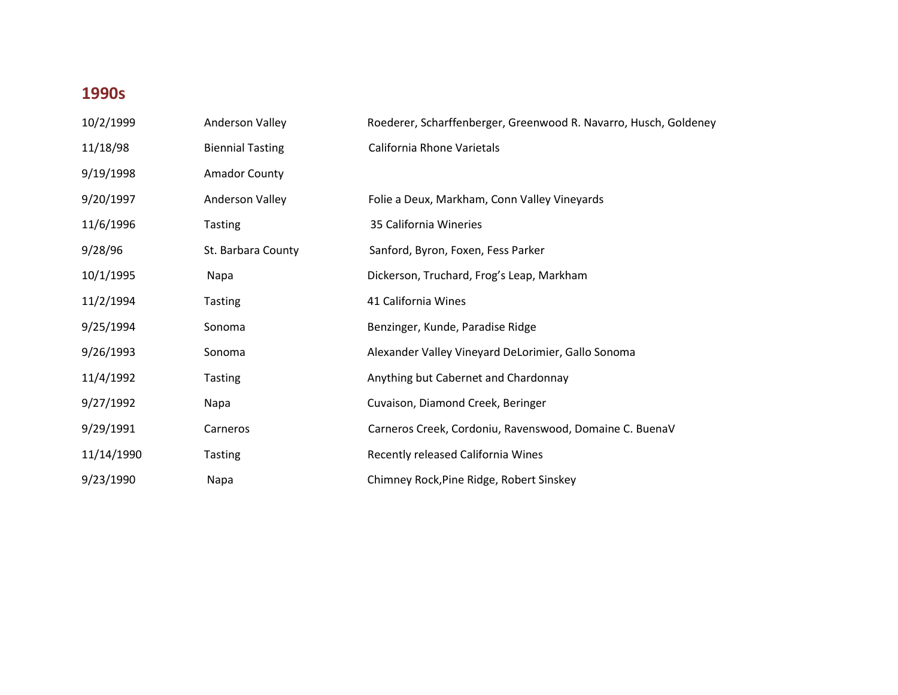| 10/2/1999  | Anderson Valley         | Roederer, Scharffenberger, Greenwood R. Navarro, Husch, Goldeney |
|------------|-------------------------|------------------------------------------------------------------|
| 11/18/98   | <b>Biennial Tasting</b> | California Rhone Varietals                                       |
| 9/19/1998  | <b>Amador County</b>    |                                                                  |
| 9/20/1997  | Anderson Valley         | Folie a Deux, Markham, Conn Valley Vineyards                     |
| 11/6/1996  | <b>Tasting</b>          | 35 California Wineries                                           |
| 9/28/96    | St. Barbara County      | Sanford, Byron, Foxen, Fess Parker                               |
| 10/1/1995  | Napa                    | Dickerson, Truchard, Frog's Leap, Markham                        |
| 11/2/1994  | <b>Tasting</b>          | 41 California Wines                                              |
| 9/25/1994  | Sonoma                  | Benzinger, Kunde, Paradise Ridge                                 |
| 9/26/1993  | Sonoma                  | Alexander Valley Vineyard DeLorimier, Gallo Sonoma               |
| 11/4/1992  | <b>Tasting</b>          | Anything but Cabernet and Chardonnay                             |
| 9/27/1992  | Napa                    | Cuvaison, Diamond Creek, Beringer                                |
| 9/29/1991  | Carneros                | Carneros Creek, Cordoniu, Ravenswood, Domaine C. BuenaV          |
| 11/14/1990 | <b>Tasting</b>          | Recently released California Wines                               |
| 9/23/1990  | Napa                    | Chimney Rock, Pine Ridge, Robert Sinskey                         |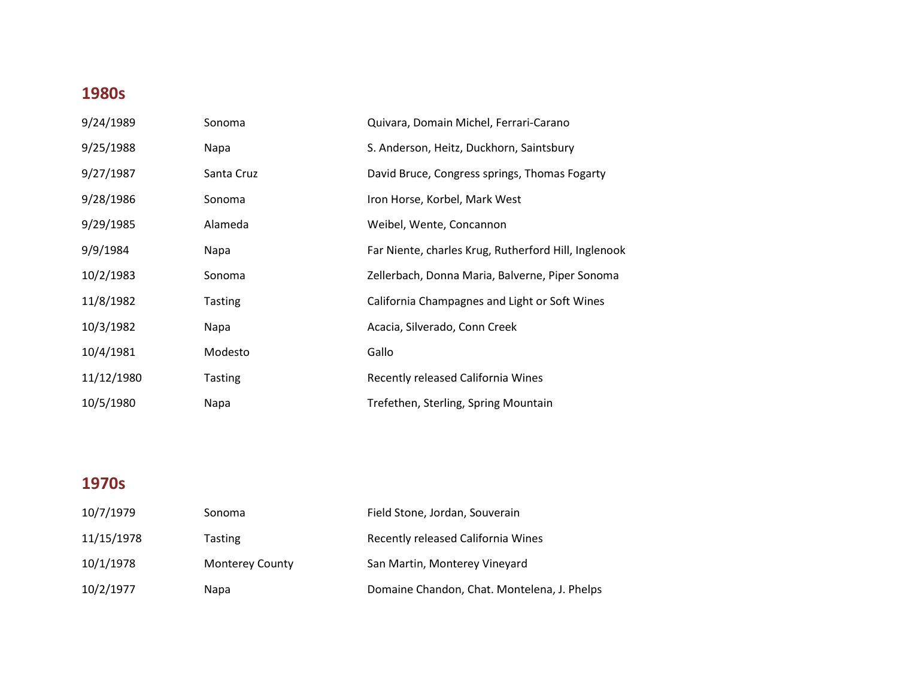| 9/24/1989  | Sonoma         | Quivara, Domain Michel, Ferrari-Carano               |
|------------|----------------|------------------------------------------------------|
| 9/25/1988  | Napa           | S. Anderson, Heitz, Duckhorn, Saintsbury             |
| 9/27/1987  | Santa Cruz     | David Bruce, Congress springs, Thomas Fogarty        |
| 9/28/1986  | Sonoma         | Iron Horse, Korbel, Mark West                        |
| 9/29/1985  | Alameda        | Weibel, Wente, Concannon                             |
| 9/9/1984   | Napa           | Far Niente, charles Krug, Rutherford Hill, Inglenook |
| 10/2/1983  | Sonoma         | Zellerbach, Donna Maria, Balverne, Piper Sonoma      |
| 11/8/1982  | <b>Tasting</b> | California Champagnes and Light or Soft Wines        |
| 10/3/1982  | Napa           | Acacia, Silverado, Conn Creek                        |
| 10/4/1981  | Modesto        | Gallo                                                |
| 11/12/1980 | <b>Tasting</b> | Recently released California Wines                   |
| 10/5/1980  | Napa           | Trefethen, Sterling, Spring Mountain                 |

| 10/7/1979  | Sonoma                 | Field Stone, Jordan, Souverain              |
|------------|------------------------|---------------------------------------------|
| 11/15/1978 | Tasting                | Recently released California Wines          |
| 10/1/1978  | <b>Monterey County</b> | San Martin, Monterey Vineyard               |
| 10/2/1977  | Napa                   | Domaine Chandon, Chat. Montelena, J. Phelps |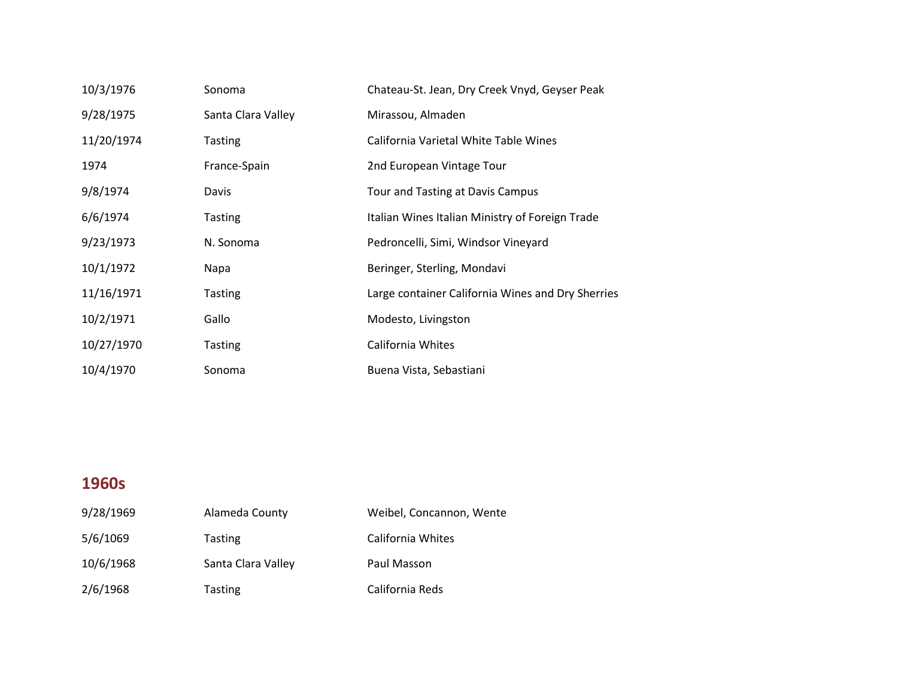| 10/3/1976  | Sonoma             | Chateau-St. Jean, Dry Creek Vnyd, Geyser Peak     |
|------------|--------------------|---------------------------------------------------|
| 9/28/1975  | Santa Clara Valley | Mirassou, Almaden                                 |
| 11/20/1974 | <b>Tasting</b>     | California Varietal White Table Wines             |
| 1974       | France-Spain       | 2nd European Vintage Tour                         |
| 9/8/1974   | Davis              | Tour and Tasting at Davis Campus                  |
| 6/6/1974   | <b>Tasting</b>     | Italian Wines Italian Ministry of Foreign Trade   |
| 9/23/1973  | N. Sonoma          | Pedroncelli, Simi, Windsor Vineyard               |
| 10/1/1972  | Napa               | Beringer, Sterling, Mondavi                       |
| 11/16/1971 | Tasting            | Large container California Wines and Dry Sherries |
| 10/2/1971  | Gallo              | Modesto, Livingston                               |
| 10/27/1970 | <b>Tasting</b>     | California Whites                                 |
| 10/4/1970  | Sonoma             | Buena Vista, Sebastiani                           |

| 9/28/1969 | Alameda County     | Weibel, Concannon, Wente |
|-----------|--------------------|--------------------------|
| 5/6/1069  | <b>Tasting</b>     | California Whites        |
| 10/6/1968 | Santa Clara Valley | Paul Masson              |
| 2/6/1968  | Tasting            | California Reds          |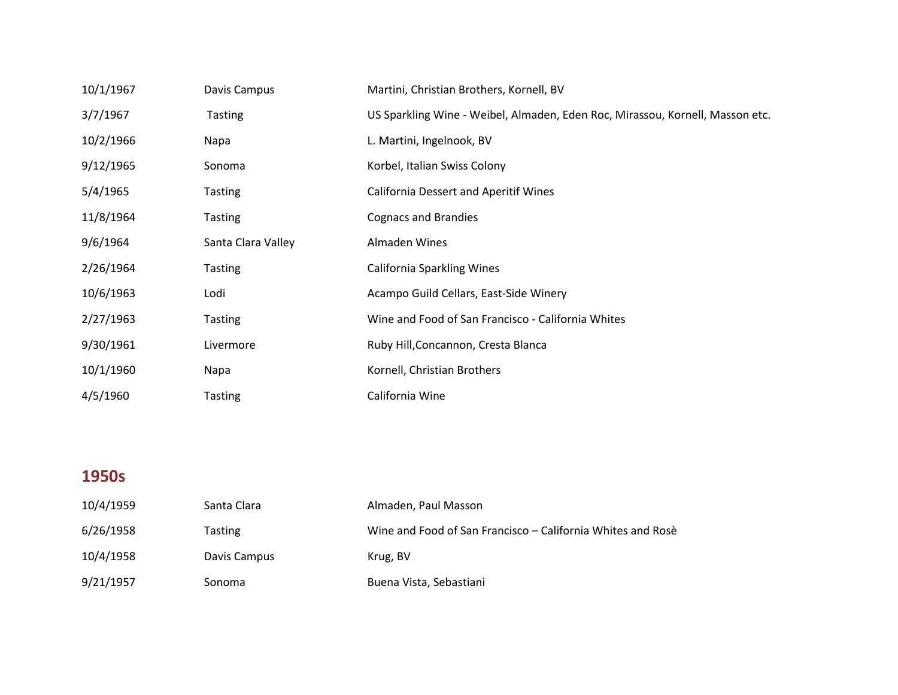| 10/1/1967 | Davis Campus       | Martini, Christian Brothers, Kornell, BV                                      |
|-----------|--------------------|-------------------------------------------------------------------------------|
| 3/7/1967  | <b>Tasting</b>     | US Sparkling Wine - Weibel, Almaden, Eden Roc, Mirassou, Kornell, Masson etc. |
| 10/2/1966 | Napa               | L. Martini, Ingelnook, BV                                                     |
| 9/12/1965 | Sonoma             | Korbel, Italian Swiss Colony                                                  |
| 5/4/1965  | <b>Tasting</b>     | <b>California Dessert and Aperitif Wines</b>                                  |
| 11/8/1964 | Tasting            | <b>Cognacs and Brandies</b>                                                   |
| 9/6/1964  | Santa Clara Valley | Almaden Wines                                                                 |
| 2/26/1964 | <b>Tasting</b>     | <b>California Sparkling Wines</b>                                             |
| 10/6/1963 | Lodi               | Acampo Guild Cellars, East-Side Winery                                        |
| 2/27/1963 | <b>Tasting</b>     | Wine and Food of San Francisco - California Whites                            |
| 9/30/1961 | Livermore          | Ruby Hill, Concannon, Cresta Blanca                                           |
| 10/1/1960 | Napa               | Kornell, Christian Brothers                                                   |
| 4/5/1960  | <b>Tasting</b>     | California Wine                                                               |

| 10/4/1959 | Santa Clara    | Almaden, Paul Masson                                        |
|-----------|----------------|-------------------------------------------------------------|
| 6/26/1958 | <b>Tasting</b> | Wine and Food of San Francisco – California Whites and Rosè |
| 10/4/1958 | Davis Campus   | Krug, BV                                                    |
| 9/21/1957 | Sonoma         | Buena Vista, Sebastiani                                     |